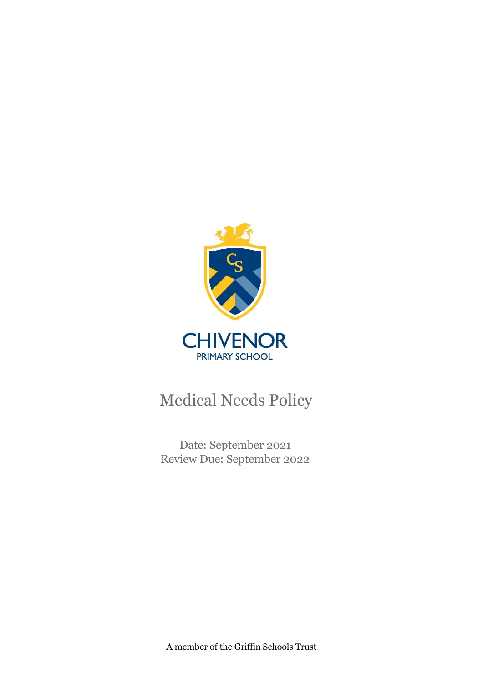

Date: September 2021 Review Due: September 2022

A member of the Griffin Schools Trust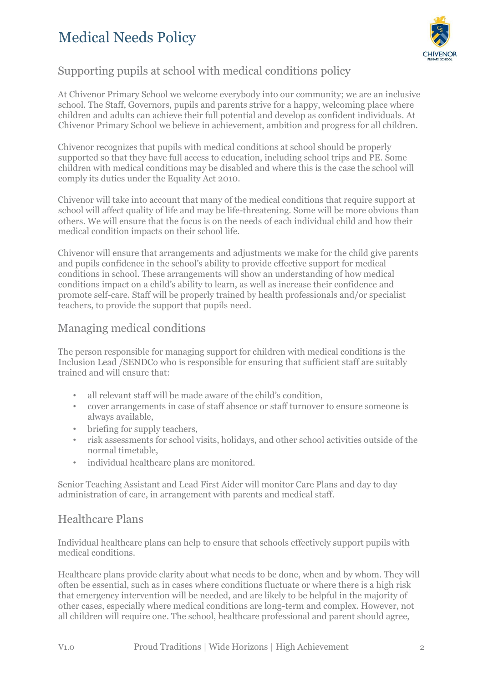

### Supporting pupils at school with medical conditions policy

At Chivenor Primary School we welcome everybody into our community; we are an inclusive school. The Staff, Governors, pupils and parents strive for a happy, welcoming place where children and adults can achieve their full potential and develop as confident individuals. At Chivenor Primary School we believe in achievement, ambition and progress for all children.

Chivenor recognizes that pupils with medical conditions at school should be properly supported so that they have full access to education, including school trips and PE. Some children with medical conditions may be disabled and where this is the case the school will comply its duties under the Equality Act 2010.

Chivenor will take into account that many of the medical conditions that require support at school will affect quality of life and may be life-threatening. Some will be more obvious than others. We will ensure that the focus is on the needs of each individual child and how their medical condition impacts on their school life.

Chivenor will ensure that arrangements and adjustments we make for the child give parents and pupils confidence in the school's ability to provide effective support for medical conditions in school. These arrangements will show an understanding of how medical conditions impact on a child's ability to learn, as well as increase their confidence and promote self-care. Staff will be properly trained by health professionals and/or specialist teachers, to provide the support that pupils need.

### Managing medical conditions

The person responsible for managing support for children with medical conditions is the Inclusion Lead /SENDCo who is responsible for ensuring that sufficient staff are suitably trained and will ensure that:

- all relevant staff will be made aware of the child's condition,
- cover arrangements in case of staff absence or staff turnover to ensure someone is always available,
- briefing for supply teachers,
- risk assessments for school visits, holidays, and other school activities outside of the normal timetable,
- individual healthcare plans are monitored.

Senior Teaching Assistant and Lead First Aider will monitor Care Plans and day to day administration of care, in arrangement with parents and medical staff.

### Healthcare Plans

Individual healthcare plans can help to ensure that schools effectively support pupils with medical conditions.

Healthcare plans provide clarity about what needs to be done, when and by whom. They will often be essential, such as in cases where conditions fluctuate or where there is a high risk that emergency intervention will be needed, and are likely to be helpful in the majority of other cases, especially where medical conditions are long-term and complex. However, not all children will require one. The school, healthcare professional and parent should agree,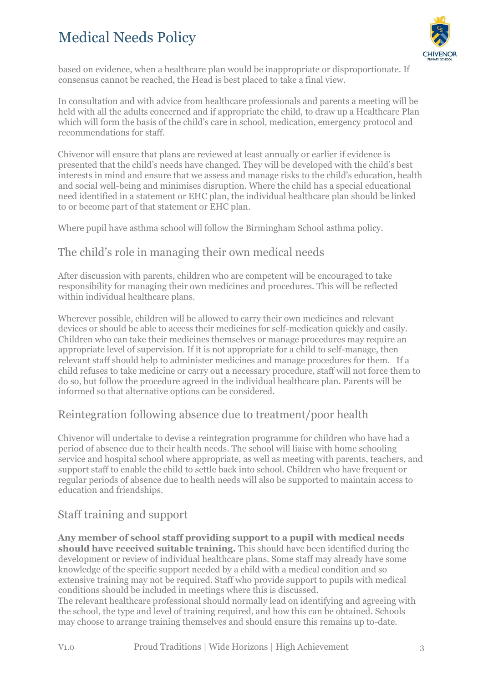

based on evidence, when a healthcare plan would be inappropriate or disproportionate. If consensus cannot be reached, the Head is best placed to take a final view.

In consultation and with advice from healthcare professionals and parents a meeting will be held with all the adults concerned and if appropriate the child, to draw up a Healthcare Plan which will form the basis of the child's care in school, medication, emergency protocol and recommendations for staff.

Chivenor will ensure that plans are reviewed at least annually or earlier if evidence is presented that the child's needs have changed. They will be developed with the child's best interests in mind and ensure that we assess and manage risks to the child's education, health and social well-being and minimises disruption. Where the child has a special educational need identified in a statement or EHC plan, the individual healthcare plan should be linked to or become part of that statement or EHC plan.

Where pupil have asthma school will follow the Birmingham School asthma policy.

#### The child's role in managing their own medical needs

After discussion with parents, children who are competent will be encouraged to take responsibility for managing their own medicines and procedures. This will be reflected within individual healthcare plans.

Wherever possible, children will be allowed to carry their own medicines and relevant devices or should be able to access their medicines for self-medication quickly and easily. Children who can take their medicines themselves or manage procedures may require an appropriate level of supervision. If it is not appropriate for a child to self-manage, then relevant staff should help to administer medicines and manage procedures for them. If a child refuses to take medicine or carry out a necessary procedure, staff will not force them to do so, but follow the procedure agreed in the individual healthcare plan. Parents will be informed so that alternative options can be considered.

### Reintegration following absence due to treatment/poor health

Chivenor will undertake to devise a reintegration programme for children who have had a period of absence due to their health needs. The school will liaise with home schooling service and hospital school where appropriate, as well as meeting with parents, teachers, and support staff to enable the child to settle back into school. Children who have frequent or regular periods of absence due to health needs will also be supported to maintain access to education and friendships.

### Staff training and support

**Any member of school staff providing support to a pupil with medical needs should have received suitable training.** This should have been identified during the development or review of individual healthcare plans. Some staff may already have some knowledge of the specific support needed by a child with a medical condition and so extensive training may not be required. Staff who provide support to pupils with medical conditions should be included in meetings where this is discussed.

The relevant healthcare professional should normally lead on identifying and agreeing with the school, the type and level of training required, and how this can be obtained. Schools may choose to arrange training themselves and should ensure this remains up to-date.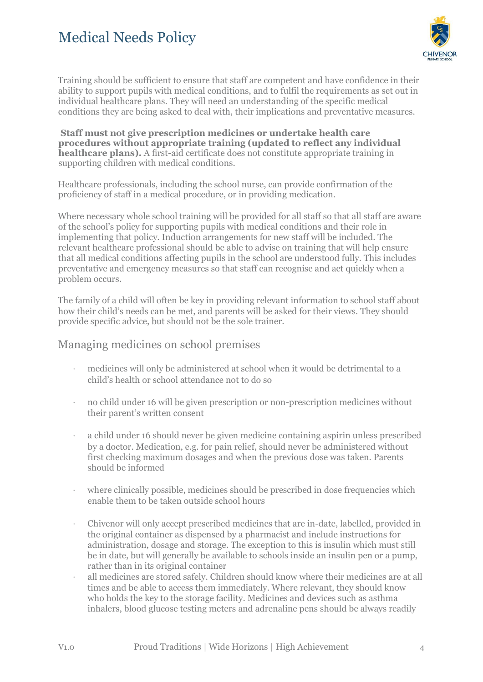

Training should be sufficient to ensure that staff are competent and have confidence in their ability to support pupils with medical conditions, and to fulfil the requirements as set out in individual healthcare plans. They will need an understanding of the specific medical conditions they are being asked to deal with, their implications and preventative measures.

**Staff must not give prescription medicines or undertake health care procedures without appropriate training (updated to reflect any individual healthcare plans).** A first-aid certificate does not constitute appropriate training in supporting children with medical conditions.

Healthcare professionals, including the school nurse, can provide confirmation of the proficiency of staff in a medical procedure, or in providing medication.

Where necessary whole school training will be provided for all staff so that all staff are aware of the school's policy for supporting pupils with medical conditions and their role in implementing that policy. Induction arrangements for new staff will be included. The relevant healthcare professional should be able to advise on training that will help ensure that all medical conditions affecting pupils in the school are understood fully. This includes preventative and emergency measures so that staff can recognise and act quickly when a problem occurs.

The family of a child will often be key in providing relevant information to school staff about how their child's needs can be met, and parents will be asked for their views. They should provide specific advice, but should not be the sole trainer.

#### Managing medicines on school premises

- · medicines will only be administered at school when it would be detrimental to a child's health or school attendance not to do so
- · no child under 16 will be given prescription or non-prescription medicines without their parent's written consent
- a child under 16 should never be given medicine containing aspirin unless prescribed by a doctor. Medication, e.g. for pain relief, should never be administered without first checking maximum dosages and when the previous dose was taken. Parents should be informed
- · where clinically possible, medicines should be prescribed in dose frequencies which enable them to be taken outside school hours
- · Chivenor will only accept prescribed medicines that are in-date, labelled, provided in the original container as dispensed by a pharmacist and include instructions for administration, dosage and storage. The exception to this is insulin which must still be in date, but will generally be available to schools inside an insulin pen or a pump, rather than in its original container
- · all medicines are stored safely. Children should know where their medicines are at all times and be able to access them immediately. Where relevant, they should know who holds the key to the storage facility. Medicines and devices such as asthma inhalers, blood glucose testing meters and adrenaline pens should be always readily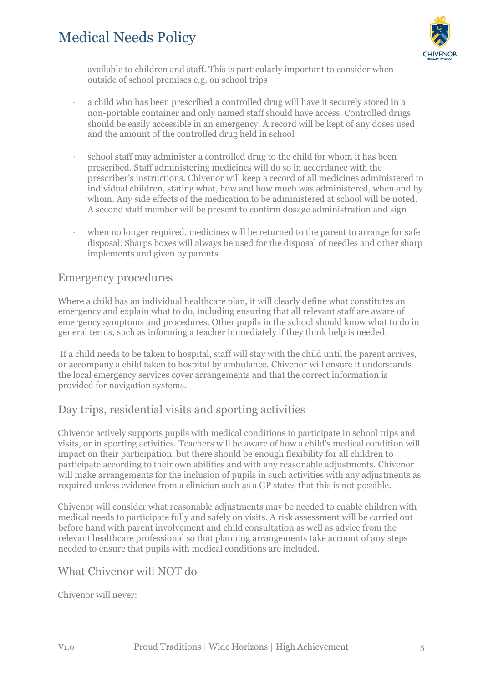

available to children and staff. This is particularly important to consider when outside of school premises e.g. on school trips

- · a child who has been prescribed a controlled drug will have it securely stored in a non-portable container and only named staff should have access. Controlled drugs should be easily accessible in an emergency. A record will be kept of any doses used and the amount of the controlled drug held in school
- · school staff may administer a controlled drug to the child for whom it has been prescribed. Staff administering medicines will do so in accordance with the prescriber's instructions. Chivenor will keep a record of all medicines administered to individual children, stating what, how and how much was administered, when and by whom. Any side effects of the medication to be administered at school will be noted. A second staff member will be present to confirm dosage administration and sign
- when no longer required, medicines will be returned to the parent to arrange for safe disposal. Sharps boxes will always be used for the disposal of needles and other sharp implements and given by parents

#### Emergency procedures

Where a child has an individual healthcare plan, it will clearly define what constitutes an emergency and explain what to do, including ensuring that all relevant staff are aware of emergency symptoms and procedures. Other pupils in the school should know what to do in general terms, such as informing a teacher immediately if they think help is needed.

If a child needs to be taken to hospital, staff will stay with the child until the parent arrives, or accompany a child taken to hospital by ambulance. Chivenor will ensure it understands the local emergency services cover arrangements and that the correct information is provided for navigation systems.

#### Day trips, residential visits and sporting activities

Chivenor actively supports pupils with medical conditions to participate in school trips and visits, or in sporting activities. Teachers will be aware of how a child's medical condition will impact on their participation, but there should be enough flexibility for all children to participate according to their own abilities and with any reasonable adjustments. Chivenor will make arrangements for the inclusion of pupils in such activities with any adjustments as required unless evidence from a clinician such as a GP states that this is not possible.

Chivenor will consider what reasonable adjustments may be needed to enable children with medical needs to participate fully and safely on visits. A risk assessment will be carried out before hand with parent involvement and child consultation as well as advice from the relevant healthcare professional so that planning arrangements take account of any steps needed to ensure that pupils with medical conditions are included.

#### What Chivenor will NOT do

Chivenor will never: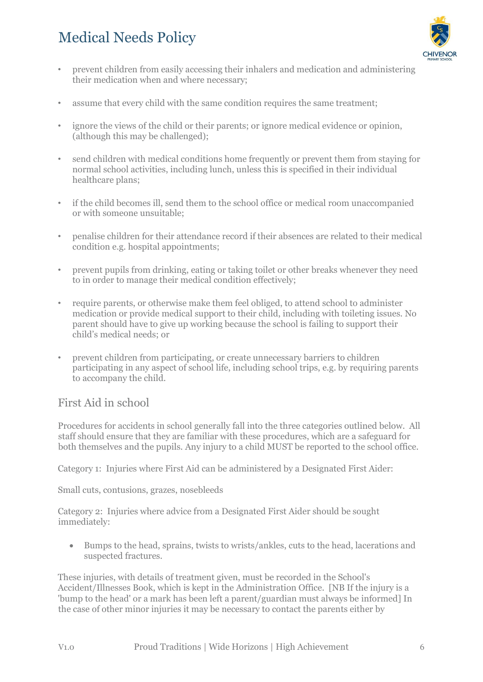

- prevent children from easily accessing their inhalers and medication and administering their medication when and where necessary;
- assume that every child with the same condition requires the same treatment;
- ignore the views of the child or their parents; or ignore medical evidence or opinion, (although this may be challenged);
- send children with medical conditions home frequently or prevent them from staying for normal school activities, including lunch, unless this is specified in their individual healthcare plans;
- if the child becomes ill, send them to the school office or medical room unaccompanied or with someone unsuitable;
- penalise children for their attendance record if their absences are related to their medical condition e.g. hospital appointments;
- prevent pupils from drinking, eating or taking toilet or other breaks whenever they need to in order to manage their medical condition effectively;
- require parents, or otherwise make them feel obliged, to attend school to administer medication or provide medical support to their child, including with toileting issues. No parent should have to give up working because the school is failing to support their child's medical needs; or
- prevent children from participating, or create unnecessary barriers to children participating in any aspect of school life, including school trips, e.g. by requiring parents to accompany the child.

#### First Aid in school

Procedures for accidents in school generally fall into the three categories outlined below. All staff should ensure that they are familiar with these procedures, which are a safeguard for both themselves and the pupils. Any injury to a child MUST be reported to the school office.

Category 1: Injuries where First Aid can be administered by a Designated First Aider:

Small cuts, contusions, grazes, nosebleeds

Category 2: Injuries where advice from a Designated First Aider should be sought immediately:

 Bumps to the head, sprains, twists to wrists/ankles, cuts to the head, lacerations and suspected fractures.

These injuries, with details of treatment given, must be recorded in the School's Accident/Illnesses Book, which is kept in the Administration Office. [NB If the injury is a 'bump to the head' or a mark has been left a parent/guardian must always be informed] In the case of other minor injuries it may be necessary to contact the parents either by